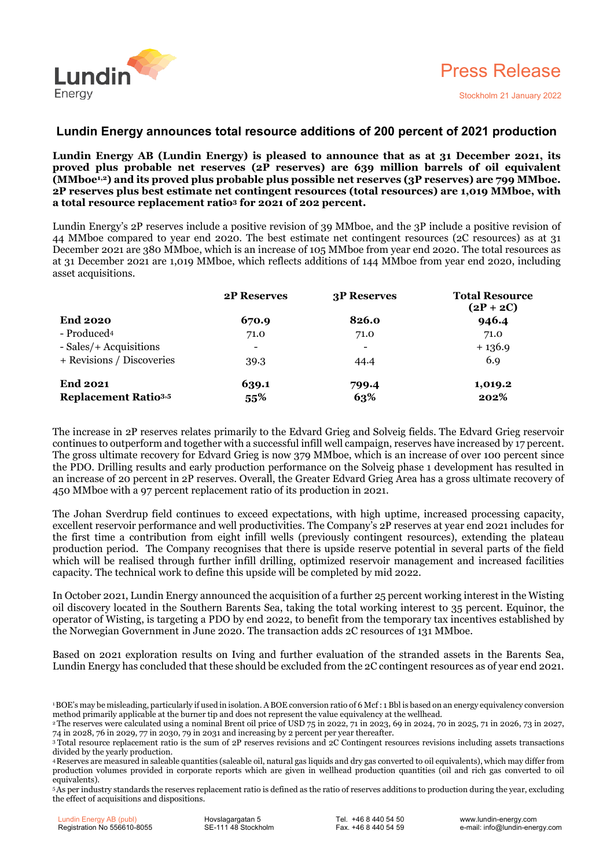

## **Lundin Energy announces total resource additions of 200 percent of 2021 production**

**Lundin Energy AB (Lundin Energy) is pleased to announce that as at 31 December 2021, its proved plus probable net reserves (2P reserves) are 639 million barrels of oil equivalent (MMboe1,2) and its proved plus probable plus possible net reserves (3P reserves) are 799 MMboe. 2P reserves plus best estimate net contingent resources (total resources) are 1,019 MMboe, with a total resource replacement ratio3 for 2021 of 202 percent.**

Lundin Energy's 2P reserves include a positive revision of 39 MMboe, and the 3P include a positive revision of 44 MMboe compared to year end 2020. The best estimate net contingent resources (2C resources) as at 31 December 2021 are 380 MMboe, which is an increase of 105 MMboe from year end 2020. The total resources as at 31 December 2021 are 1,019 MMboe, which reflects additions of 144 MMboe from year end 2020, including asset acquisitions.

| <b>End 2020</b>             | 2P Reserves<br>670.9 | <b>3P Reserves</b><br>826.0 | <b>Total Resource</b><br>$(2P + 2C)$<br>946.4 |
|-----------------------------|----------------------|-----------------------------|-----------------------------------------------|
|                             |                      |                             |                                               |
| - Sales/+ Acquisitions      |                      | $\overline{\phantom{0}}$    | $+136.9$                                      |
| + Revisions / Discoveries   | 39.3                 | 44.4                        | 6.9                                           |
| <b>End 2021</b>             | 639.1                | 799.4                       | 1,019.2                                       |
| <b>Replacement Ratio3,5</b> | 55%                  | 63%                         | 202%                                          |

The increase in 2P reserves relates primarily to the Edvard Grieg and Solveig fields. The Edvard Grieg reservoir continues to outperform and together with a successful infill well campaign, reserves have increased by 17 percent. The gross ultimate recovery for Edvard Grieg is now 379 MMboe, which is an increase of over 100 percent since the PDO. Drilling results and early production performance on the Solveig phase 1 development has resulted in an increase of 20 percent in 2P reserves. Overall, the Greater Edvard Grieg Area has a gross ultimate recovery of 450 MMboe with a 97 percent replacement ratio of its production in 2021.

The Johan Sverdrup field continues to exceed expectations, with high uptime, increased processing capacity, excellent reservoir performance and well productivities. The Company's 2P reserves at year end 2021 includes for the first time a contribution from eight infill wells (previously contingent resources), extending the plateau production period. The Company recognises that there is upside reserve potential in several parts of the field which will be realised through further infill drilling, optimized reservoir management and increased facilities capacity. The technical work to define this upside will be completed by mid 2022.

In October 2021, Lundin Energy announced the acquisition of a further 25 percent working interest in the Wisting oil discovery located in the Southern Barents Sea, taking the total working interest to 35 percent. Equinor, the operator of Wisting, is targeting a PDO by end 2022, to benefit from the temporary tax incentives established by the Norwegian Government in June 2020. The transaction adds 2C resources of 131 MMboe.

Based on 2021 exploration results on Iving and further evaluation of the stranded assets in the Barents Sea, Lundin Energy has concluded that these should be excluded from the 2C contingent resources as of year end 2021.

5 As per industry standards the reserves replacement ratio is defined as the ratio of reserves additions to production during the year, excluding the effect of acquisitions and dispositions.

Lundin Energy AB (publ) Registration No 556610-8055

<sup>1</sup> BOE's may be misleading, particularly if used in isolation. A BOE conversion ratio of 6 Mcf : 1 Bbl is based on an energy equivalency conversion method primarily applicable at the burner tip and does not represent the value equivalency at the wellhead.

<sup>&</sup>lt;sup>2</sup> The reserves were calculated using a nominal Brent oil price of USD 75 in 2022, 71 in 2023, 69 in 2024, 70 in 2025, 71 in 2026, 73 in 2027, 74 in 2028, 76 in 2029, 77 in 2030, 79 in 2031 and increasing by 2 percent per year thereafter.

<sup>3</sup> Total resource replacement ratio is the sum of 2P reserves revisions and 2C Contingent resources revisions including assets transactions divided by the yearly production.

<sup>4</sup> Reserves are measured in saleable quantities (saleable oil, natural gas liquids and dry gas converted to oil equivalents), which may differ from production volumes provided in corporate reports which are given in wellhead production quantities (oil and rich gas converted to oil equivalents).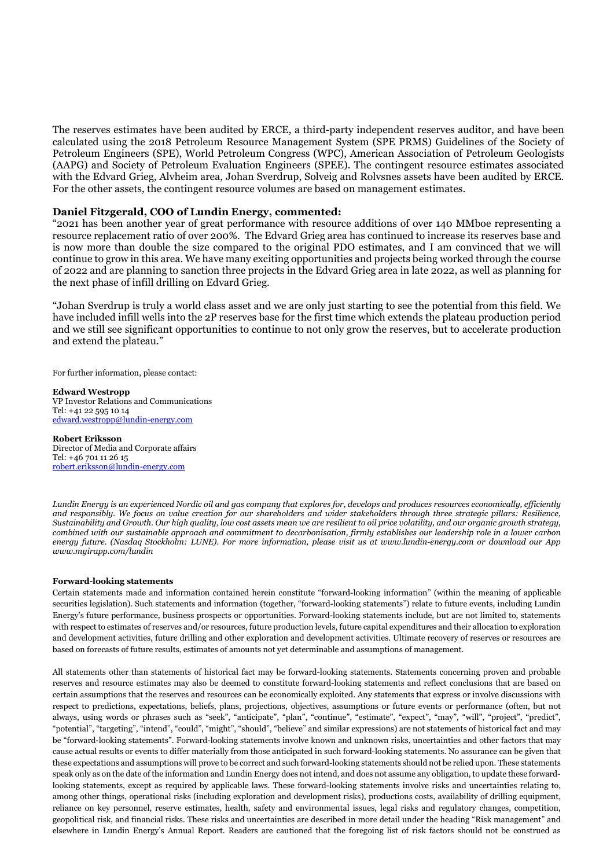The reserves estimates have been audited by ERCE, a third-party independent reserves auditor, and have been calculated using the 2018 Petroleum Resource Management System (SPE PRMS) Guidelines of the Society of Petroleum Engineers (SPE), World Petroleum Congress (WPC), American Association of Petroleum Geologists (AAPG) and Society of Petroleum Evaluation Engineers (SPEE). The contingent resource estimates associated with the Edvard Grieg, Alvheim area, Johan Sverdrup, Solveig and Rolvsnes assets have been audited by ERCE. For the other assets, the contingent resource volumes are based on management estimates.

## **Daniel Fitzgerald, COO of Lundin Energy, commented:**

"2021 has been another year of great performance with resource additions of over 140 MMboe representing a resource replacement ratio of over 200%. The Edvard Grieg area has continued to increase its reserves base and is now more than double the size compared to the original PDO estimates, and I am convinced that we will continue to grow in this area. We have many exciting opportunities and projects being worked through the course of 2022 and are planning to sanction three projects in the Edvard Grieg area in late 2022, as well as planning for the next phase of infill drilling on Edvard Grieg.

"Johan Sverdrup is truly a world class asset and we are only just starting to see the potential from this field. We have included infill wells into the 2P reserves base for the first time which extends the plateau production period and we still see significant opportunities to continue to not only grow the reserves, but to accelerate production and extend the plateau."

For further information, please contact:

## **Edward Westropp**

VP Investor Relations and Communications Tel: +41 22 595 10 14 [edward.westropp@lundin-energy.com](mailto:edward.westropp@lundin-energy.com)

**Robert Eriksson** Director of Media and Corporate affairs Tel: +46 701 11 26 15 [robert.eriksson@lundin-energy.com](mailto:robert.eriksson@lundin-energy.com)

*Lundin Energy is an experienced Nordic oil and gas company that explores for, develops and produces resources economically, efficiently and responsibly. We focus on value creation for our shareholders and wider stakeholders through three strategic pillars: Resilience, Sustainability and Growth. Our high quality, low cost assets mean we are resilient to oil price volatility, and our organic growth strategy, combined with our sustainable approach and commitment to decarbonisation, firmly establishes our leadership role in a lower carbon energy future. (Nasdaq Stockholm: LUNE). For more information, please visit us at www.lundin-energy.com or download our App www.myirapp.com/lundin*

## **Forward-looking statements**

Certain statements made and information contained herein constitute "forward-looking information" (within the meaning of applicable securities legislation). Such statements and information (together, "forward-looking statements") relate to future events, including Lundin Energy's future performance, business prospects or opportunities. Forward-looking statements include, but are not limited to, statements with respect to estimates of reserves and/or resources, future production levels, future capital expenditures and their allocation to exploration and development activities, future drilling and other exploration and development activities. Ultimate recovery of reserves or resources are based on forecasts of future results, estimates of amounts not yet determinable and assumptions of management.

All statements other than statements of historical fact may be forward-looking statements. Statements concerning proven and probable reserves and resource estimates may also be deemed to constitute forward-looking statements and reflect conclusions that are based on certain assumptions that the reserves and resources can be economically exploited. Any statements that express or involve discussions with respect to predictions, expectations, beliefs, plans, projections, objectives, assumptions or future events or performance (often, but not always, using words or phrases such as "seek", "anticipate", "plan", "continue", "estimate", "expect", "may", "will", "project", "predict", "potential", "targeting", "intend", "could", "might", "should", "believe" and similar expressions) are not statements of historical fact and may be "forward-looking statements". Forward-looking statements involve known and unknown risks, uncertainties and other factors that may cause actual results or events to differ materially from those anticipated in such forward-looking statements. No assurance can be given that these expectations and assumptions will prove to be correct and such forward-looking statements should not be relied upon. These statements speak only as on the date of the information and Lundin Energy does not intend, and does not assume any obligation, to update these forwardlooking statements, except as required by applicable laws. These forward-looking statements involve risks and uncertainties relating to, among other things, operational risks (including exploration and development risks), productions costs, availability of drilling equipment, reliance on key personnel, reserve estimates, health, safety and environmental issues, legal risks and regulatory changes, competition, geopolitical risk, and financial risks. These risks and uncertainties are described in more detail under the heading "Risk management" and elsewhere in Lundin Energy's Annual Report. Readers are cautioned that the foregoing list of risk factors should not be construed as